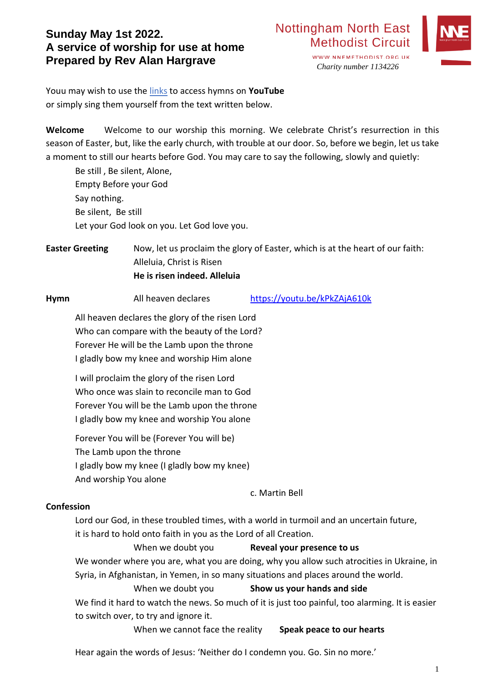## **Sunday May 1st 2022. A service of worship for use at home Prepared by Rev Alan Hargrave**

# **Nottingham North East Methodist Circuit**



WWW.NNEMETHODIST.ORG.UK *Charity number 1134226*

Youu may wish to use the links to access hymns on **YouTube** or simply sing them yourself from the text written below.

**Welcome** Welcome to our worship this morning. We celebrate Christ's resurrection in this season of Easter, but, like the early church, with trouble at our door. So, before we begin, let us take a moment to still our hearts before God. You may care to say the following, slowly and quietly:

Be still , Be silent, Alone, Empty Before your God Say nothing. Be silent, Be still Let your God look on you. Let God love you.

**Easter Greeting** Now, let us proclaim the glory of Easter, which is at the heart of our faith: Alleluia, Christ is Risen **He is risen indeed. Alleluia**

**Hymn** All heaven declares <https://youtu.be/kPkZAjA610k>

All heaven declares the glory of the risen Lord Who can compare with the beauty of the Lord? Forever He will be the Lamb upon the throne I gladly bow my knee and worship Him alone

I will proclaim the glory of the risen Lord Who once was slain to reconcile man to God Forever You will be the Lamb upon the throne I gladly bow my knee and worship You alone

Forever You will be (Forever You will be) The Lamb upon the throne I gladly bow my knee (I gladly bow my knee) And worship You alone

c. Martin Bell

#### **Confession**

Lord our God, in these troubled times, with a world in turmoil and an uncertain future, it is hard to hold onto faith in you as the Lord of all Creation.

When we doubt you **Reveal your presence to us** We wonder where you are, what you are doing, why you allow such atrocities in Ukraine, in Syria, in Afghanistan, in Yemen, in so many situations and places around the world.

When we doubt you **Show us your hands and side** We find it hard to watch the news. So much of it is just too painful, too alarming. It is easier to switch over, to try and ignore it.

When we cannot face the reality **Speak peace to our hearts**

Hear again the words of Jesus: 'Neither do I condemn you. Go. Sin no more.'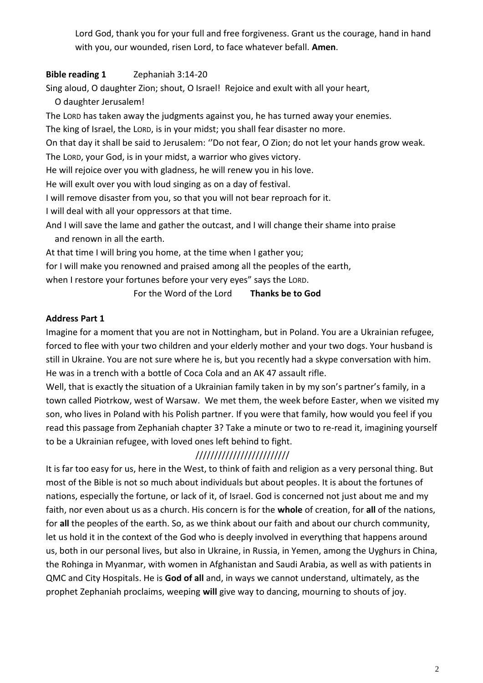Lord God, thank you for your full and free forgiveness. Grant us the courage, hand in hand with you, our wounded, risen Lord, to face whatever befall. **Amen**.

### **Bible reading 1** Zephaniah 3:14-20

Sing aloud, O daughter Zion; shout, O Israel! Rejoice and exult with all your heart,

O daughter Jerusalem!

The LORD has taken away the judgments against you, he has turned away your enemies.

The king of Israel, the LORD, is in your midst; you shall fear disaster no more.

On that day it shall be said to Jerusalem: ''Do not fear, O Zion; do not let your hands grow weak.

The LORD, your God, is in your midst, a warrior who gives victory.

He will rejoice over you with gladness, he will renew you in his love.

He will exult over you with loud singing as on a day of festival.

I will remove disaster from you, so that you will not bear reproach for it.

I will deal with all your oppressors at that time.

And I will save the lame and gather the outcast, and I will change their shame into praise and renown in all the earth.

At that time I will bring you home, at the time when I gather you;

for I will make you renowned and praised among all the peoples of the earth,

when I restore your fortunes before your very eyes" says the LORD.

For the Word of the Lord **Thanks be to God**

### **Address Part 1**

Imagine for a moment that you are not in Nottingham, but in Poland. You are a Ukrainian refugee, forced to flee with your two children and your elderly mother and your two dogs. Your husband is still in Ukraine. You are not sure where he is, but you recently had a skype conversation with him. He was in a trench with a bottle of Coca Cola and an AK 47 assault rifle.

Well, that is exactly the situation of a Ukrainian family taken in by my son's partner's family, in a town called Piotrkow, west of Warsaw. We met them, the week before Easter, when we visited my son, who lives in Poland with his Polish partner. If you were that family, how would you feel if you read this passage from Zephaniah chapter 3? Take a minute or two to re-read it, imagining yourself to be a Ukrainian refugee, with loved ones left behind to fight.

# /////////////////////////

It is far too easy for us, here in the West, to think of faith and religion as a very personal thing. But most of the Bible is not so much about individuals but about peoples. It is about the fortunes of nations, especially the fortune, or lack of it, of Israel. God is concerned not just about me and my faith, nor even about us as a church. His concern is for the **whole** of creation, for **all** of the nations, for **all** the peoples of the earth. So, as we think about our faith and about our church community, let us hold it in the context of the God who is deeply involved in everything that happens around us, both in our personal lives, but also in Ukraine, in Russia, in Yemen, among the Uyghurs in China, the Rohinga in Myanmar, with women in Afghanistan and Saudi Arabia, as well as with patients in QMC and City Hospitals. He is **God of all** and, in ways we cannot understand, ultimately, as the prophet Zephaniah proclaims, weeping **will** give way to dancing, mourning to shouts of joy.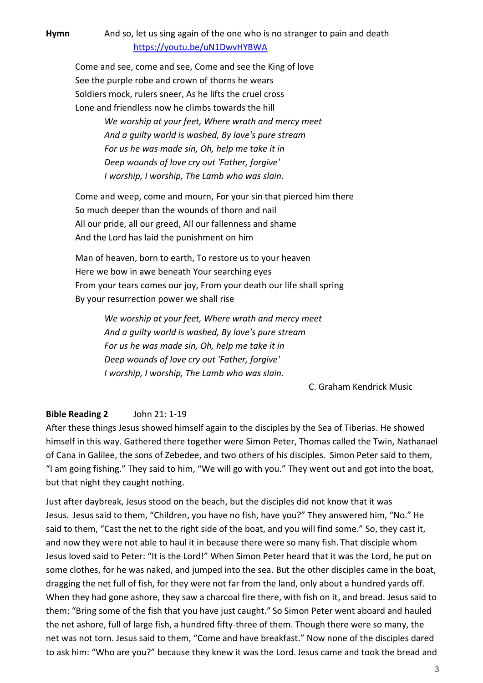### **Hymn** And so, let us sing again of the one who is no stranger to pain and death <https://youtu.be/uN1DwvHYBWA>

Come and see, come and see, Come and see the King of love See the purple robe and crown of thorns he wears Soldiers mock, rulers sneer, As he lifts the cruel cross Lone and friendless now he climbs towards the hill

> *We worship at your feet, Where wrath and mercy meet And a guilty world is washed, By love's pure stream For us he was made sin, Oh, help me take it in Deep wounds of love cry out 'Father, forgive' I worship, I worship, The Lamb who was slain.*

Come and weep, come and mourn, For your sin that pierced him there So much deeper than the wounds of thorn and nail All our pride, all our greed, All our fallenness and shame And the Lord has laid the punishment on him

Man of heaven, born to earth, To restore us to your heaven Here we bow in awe beneath Your searching eyes From your tears comes our joy, From your death our life shall spring By your resurrection power we shall rise

> *We worship at your feet, Where wrath and mercy meet And a guilty world is washed, By love's pure stream For us he was made sin, Oh, help me take it in Deep wounds of love cry out 'Father, forgive' I worship, I worship, The Lamb who was slain.*

> > C. Graham Kendrick Music

### **Bible Reading 2** John 21: 1-19

After these things Jesus showed himself again to the disciples by the Sea of Tiberias. He showed himself in this way. Gathered there together were Simon Peter, Thomas called the Twin, Nathanael of Cana in Galilee, the sons of Zebedee, and two others of his disciples. Simon Peter said to them, "I am going fishing." They said to him, "We will go with you." They went out and got into the boat, but that night they caught nothing.

Just after daybreak, Jesus stood on the beach, but the disciples did not know that it was Jesus. Jesus said to them, "Children, you have no fish, have you?" They answered him, "No." He said to them, "Cast the net to the right side of the boat, and you will find some." So, they cast it, and now they were not able to haul it in because there were so many fish. That disciple whom Jesus loved said to Peter: "It is the Lord!" When Simon Peter heard that it was the Lord, he put on some clothes, for he was naked, and jumped into the sea. But the other disciples came in the boat, dragging the net full of fish, for they were not far from the land, only about a hundred yards off. When they had gone ashore, they saw a charcoal fire there, with fish on it, and bread. Jesus said to them: "Bring some of the fish that you have just caught." So Simon Peter went aboard and hauled the net ashore, full of large fish, a hundred fifty-three of them. Though there were so many, the net was not torn. Jesus said to them, "Come and have breakfast." Now none of the disciples dared to ask him: "Who are you?" because they knew it was the Lord. Jesus came and took the bread and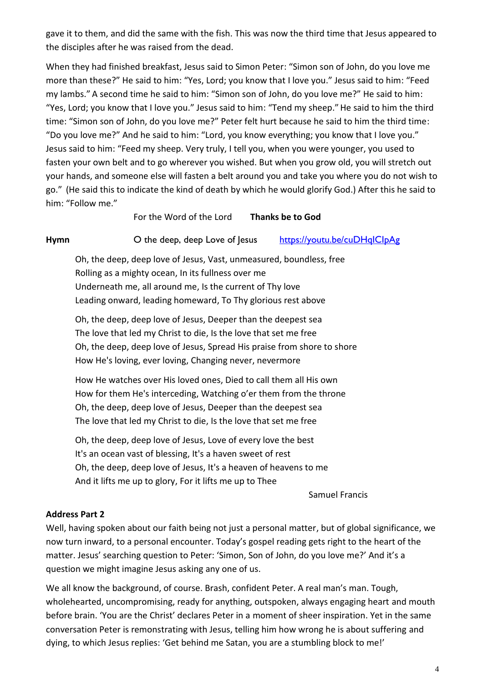gave it to them, and did the same with the fish. This was now the third time that Jesus appeared to the disciples after he was raised from the dead.

When they had finished breakfast, Jesus said to Simon Peter: "Simon son of John, do you love me more than these?" He said to him: "Yes, Lord; you know that I love you." Jesus said to him: "Feed my lambs." A second time he said to him: "Simon son of John, do you love me?" He said to him: "Yes, Lord; you know that I love you." Jesus said to him: "Tend my sheep." He said to him the third time: "Simon son of John, do you love me?" Peter felt hurt because he said to him the third time: "Do you love me?" And he said to him: "Lord, you know everything; you know that I love you." Jesus said to him: "Feed my sheep. Very truly, I tell you, when you were younger, you used to fasten your own belt and to go wherever you wished. But when you grow old, you will stretch out your hands, and someone else will fasten a belt around you and take you where you do not wish to go." (He said this to indicate the kind of death by which he would glorify God.) After this he said to him: "Follow me."

For the Word of the Lord **Thanks be to God**

Hymn **O** the deep, deep Love of Jesus https://youtu.be/cuDHqlClpAg

Oh, the deep, deep love of Jesus, Vast, unmeasured, boundless, free Rolling as a mighty ocean, In its fullness over me Underneath me, all around me, Is the current of Thy love Leading onward, leading homeward, To Thy glorious rest above

Oh, the deep, deep love of Jesus, Deeper than the deepest sea The love that led my Christ to die, Is the love that set me free Oh, the deep, deep love of Jesus, Spread His praise from shore to shore How He's loving, ever loving, Changing never, nevermore

How He watches over His loved ones, Died to call them all His own How for them He's interceding, Watching o'er them from the throne Oh, the deep, deep love of Jesus, Deeper than the deepest sea The love that led my Christ to die, Is the love that set me free

Oh, the deep, deep love of Jesus, Love of every love the best It's an ocean vast of blessing, It's a haven sweet of rest Oh, the deep, deep love of Jesus, It's a heaven of heavens to me And it lifts me up to glory, For it lifts me up to Thee

Samuel Francis

#### **Address Part 2**

Well, having spoken about our faith being not just a personal matter, but of global significance, we now turn inward, to a personal encounter. Today's gospel reading gets right to the heart of the matter. Jesus' searching question to Peter: 'Simon, Son of John, do you love me?' And it's a question we might imagine Jesus asking any one of us.

We all know the background, of course. Brash, confident Peter. A real man's man. Tough, wholehearted, uncompromising, ready for anything, outspoken, always engaging heart and mouth before brain. 'You are the Christ' declares Peter in a moment of sheer inspiration. Yet in the same conversation Peter is remonstrating with Jesus, telling him how wrong he is about suffering and dying, to which Jesus replies: 'Get behind me Satan, you are a stumbling block to me!'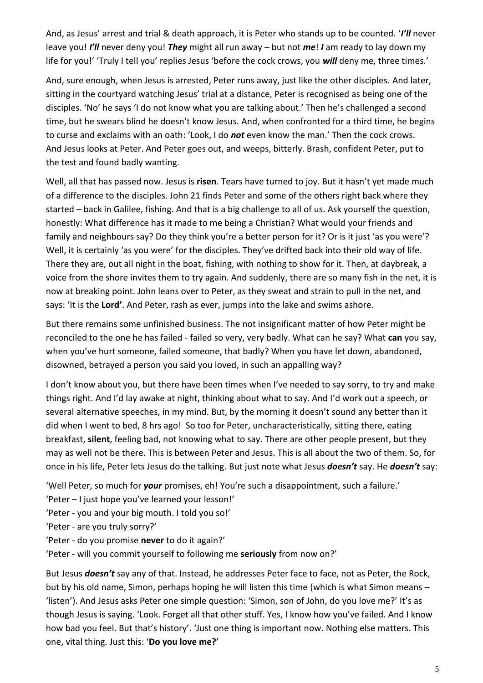And, as Jesus' arrest and trial & death approach, it is Peter who stands up to be counted. '*I'll* never leave you! *I'll* never deny you! *They* might all run away – but not *me*! *I* am ready to lay down my life for you!' 'Truly I tell you' replies Jesus 'before the cock crows, you *will* deny me, three times.'

And, sure enough, when Jesus is arrested, Peter runs away, just like the other disciples. And later, sitting in the courtyard watching Jesus' trial at a distance, Peter is recognised as being one of the disciples. 'No' he says 'I do not know what you are talking about.' Then he's challenged a second time, but he swears blind he doesn't know Jesus. And, when confronted for a third time, he begins to curse and exclaims with an oath: 'Look, I do *not* even know the man.' Then the cock crows. And Jesus looks at Peter. And Peter goes out, and weeps, bitterly. Brash, confident Peter, put to the test and found badly wanting.

Well, all that has passed now. Jesus is **risen**. Tears have turned to joy. But it hasn't yet made much of a difference to the disciples. John 21 finds Peter and some of the others right back where they started – back in Galilee, fishing. And that is a big challenge to all of us. Ask yourself the question, honestly: What difference has it made to me being a Christian? What would your friends and family and neighbours say? Do they think you're a better person for it? Or is it just 'as you were'? Well, it is certainly 'as you were' for the disciples. They've drifted back into their old way of life. There they are, out all night in the boat, fishing, with nothing to show for it. Then, at daybreak, a voice from the shore invites them to try again. And suddenly, there are so many fish in the net, it is now at breaking point. John leans over to Peter, as they sweat and strain to pull in the net, and says: 'It is the **Lord'**. And Peter, rash as ever, jumps into the lake and swims ashore.

But there remains some unfinished business. The not insignificant matter of how Peter might be reconciled to the one he has failed - failed so very, very badly. What can he say? What **can** you say, when you've hurt someone, failed someone, that badly? When you have let down, abandoned, disowned, betrayed a person you said you loved, in such an appalling way?

I don't know about you, but there have been times when I've needed to say sorry, to try and make things right. And I'd lay awake at night, thinking about what to say. And I'd work out a speech, or several alternative speeches, in my mind. But, by the morning it doesn't sound any better than it did when I went to bed, 8 hrs ago! So too for Peter, uncharacteristically, sitting there, eating breakfast, **silent**, feeling bad, not knowing what to say. There are other people present, but they may as well not be there. This is between Peter and Jesus. This is all about the two of them. So, for once in his life, Peter lets Jesus do the talking. But just note what Jesus *doesn't* say. He *doesn't* say:

'Well Peter, so much for *your* promises, eh! You're such a disappointment, such a failure.'

- 'Peter I just hope you've learned your lesson!'
- 'Peter you and your big mouth. I told you so!'
- 'Peter are you truly sorry?'
- 'Peter do you promise **never** to do it again?'
- 'Peter will you commit yourself to following me **seriously** from now on?'

But Jesus *doesn't* say any of that. Instead, he addresses Peter face to face, not as Peter, the Rock, but by his old name, Simon, perhaps hoping he will listen this time (which is what Simon means – 'listen'). And Jesus asks Peter one simple question: 'Simon, son of John, do you love me?' It's as though Jesus is saying. 'Look. Forget all that other stuff. Yes, I know how you've failed. And I know how bad you feel. But that's history'. 'Just one thing is important now. Nothing else matters. This one, vital thing. Just this: '**Do you love me?**'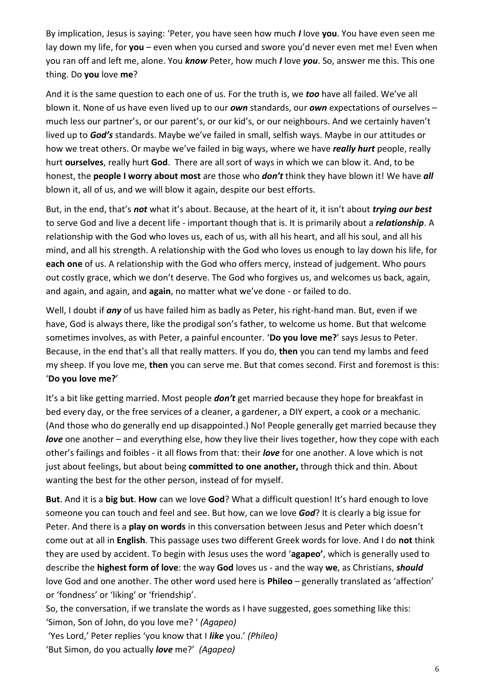By implication, Jesus is saying: 'Peter, you have seen how much *I* love **you**. You have even seen me lay down my life, for **you** – even when you cursed and swore you'd never even met me! Even when you ran off and left me, alone. You *know* Peter, how much *I* love *you*. So, answer me this. This one thing. Do **you** love **me**?

And it is the same question to each one of us. For the truth is, we *too* have all failed. We've all blown it. None of us have even lived up to our *own* standards, our *own* expectations of ourselves – much less our partner's, or our parent's, or our kid's, or our neighbours. And we certainly haven't lived up to *God's* standards. Maybe we've failed in small, selfish ways. Maybe in our attitudes or how we treat others. Or maybe we've failed in big ways, where we have *really hurt* people, really hurt **ourselves**, really hurt **God**. There are all sort of ways in which we can blow it. And, to be honest, the **people I worry about most** are those who *don't* think they have blown it! We have *all* blown it, all of us, and we will blow it again, despite our best efforts.

But, in the end, that's *not* what it's about. Because, at the heart of it, it isn't about *trying our best* to serve God and live a decent life - important though that is. It is primarily about a *relationship*. A relationship with the God who loves us, each of us, with all his heart, and all his soul, and all his mind, and all his strength. A relationship with the God who loves us enough to lay down his life, for **each one** of us. A relationship with the God who offers mercy, instead of judgement. Who pours out costly grace, which we don't deserve. The God who forgives us, and welcomes us back, again, and again, and again, and **again**, no matter what we've done - or failed to do.

Well, I doubt if *any* of us have failed him as badly as Peter, his right-hand man. But, even if we have, God is always there, like the prodigal son's father, to welcome us home. But that welcome sometimes involves, as with Peter, a painful encounter. '**Do you love me?**' says Jesus to Peter. Because, in the end that's all that really matters. If you do, **then** you can tend my lambs and feed my sheep. If you love me, **then** you can serve me. But that comes second. First and foremost is this: '**Do you love me?**'

It's a bit like getting married. Most people *don't* get married because they hope for breakfast in bed every day, or the free services of a cleaner, a gardener, a DIY expert, a cook or a mechanic. (And those who do generally end up disappointed.) No! People generally get married because they *love* one another – and everything else, how they live their lives together, how they cope with each other's failings and foibles - it all flows from that: their *love* for one another. A love which is not just about feelings, but about being **committed to one another,** through thick and thin. About wanting the best for the other person, instead of for myself.

**But**. And it is a **big but**. **How** can we love **God**? What a difficult question! It's hard enough to love someone you can touch and feel and see. But how, can we love *God*? It is clearly a big issue for Peter. And there is a **play on words** in this conversation between Jesus and Peter which doesn't come out at all in **English**. This passage uses two different Greek words for love. And I do **not** think they are used by accident. To begin with Jesus uses the word '**agapeo'**, which is generally used to describe the **highest form of love**: the way **God** loves us - and the way **we**, as Christians, *should* love God and one another. The other word used here is **Phileo** – generally translated as 'affection' or 'fondness' or 'liking' or 'friendship'.

So, the conversation, if we translate the words as I have suggested, goes something like this: 'Simon, Son of John, do you love me? ' *(Agapeo)*

'Yes Lord,' Peter replies 'you know that I *like* you.' *(Phileo)*

'But Simon, do you actually *love* me?' *(Agapeo)*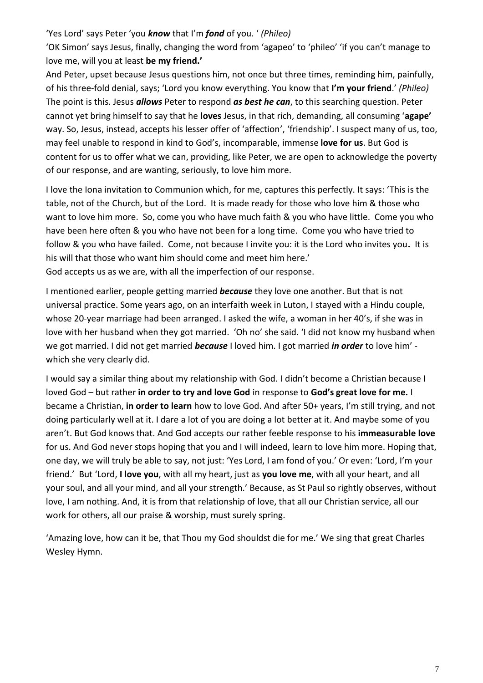'Yes Lord' says Peter 'you *know* that I'm *fond* of you. ' *(Phileo)*

'OK Simon' says Jesus, finally, changing the word from 'agapeo' to 'phileo' 'if you can't manage to love me, will you at least **be my friend.'** 

And Peter, upset because Jesus questions him, not once but three times, reminding him, painfully, of his three-fold denial, says; 'Lord you know everything. You know that **I'm your friend**.' *(Phileo)* The point is this. Jesus *allows* Peter to respond *as best he can*, to this searching question. Peter cannot yet bring himself to say that he **loves** Jesus, in that rich, demanding, all consuming '**agape'** way. So, Jesus, instead, accepts his lesser offer of 'affection', 'friendship'. I suspect many of us, too, may feel unable to respond in kind to God's, incomparable, immense **love for us**. But God is content for us to offer what we can, providing, like Peter, we are open to acknowledge the poverty of our response, and are wanting, seriously, to love him more.

I love the Iona invitation to Communion which, for me, captures this perfectly. It says: 'This is the table, not of the Church, but of the Lord. It is made ready for those who love him & those who want to love him more. So, come you who have much faith & you who have little. Come you who have been here often & you who have not been for a long time. Come you who have tried to follow & you who have failed. Come, not because I invite you: it is the Lord who invites you**.** It is his will that those who want him should come and meet him here.' God accepts us as we are, with all the imperfection of our response.

I mentioned earlier, people getting married *because* they love one another. But that is not universal practice. Some years ago, on an interfaith week in Luton, I stayed with a Hindu couple, whose 20-year marriage had been arranged. I asked the wife, a woman in her 40's, if she was in love with her husband when they got married. 'Oh no' she said. 'I did not know my husband when we got married. I did not get married *because* I loved him. I got married *in order* to love him' which she very clearly did.

I would say a similar thing about my relationship with God. I didn't become a Christian because I loved God – but rather **in order to try and love God** in response to **God's great love for me.** I became a Christian, **in order to learn** how to love God. And after 50+ years, I'm still trying, and not doing particularly well at it. I dare a lot of you are doing a lot better at it. And maybe some of you aren't. But God knows that. And God accepts our rather feeble response to his **immeasurable love** for us. And God never stops hoping that you and I will indeed, learn to love him more. Hoping that, one day, we will truly be able to say, not just: 'Yes Lord, I am fond of you.' Or even: 'Lord, I'm your friend.' But 'Lord, **I love you**, with all my heart, just as **you love me**, with all your heart, and all your soul, and all your mind, and all your strength.' Because, as St Paul so rightly observes, without love, I am nothing. And, it is from that relationship of love, that all our Christian service, all our work for others, all our praise & worship, must surely spring.

'Amazing love, how can it be, that Thou my God shouldst die for me.' We sing that great Charles Wesley Hymn.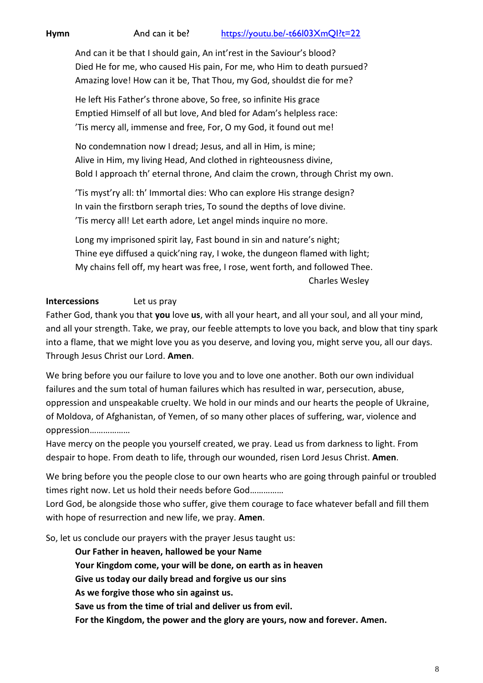And can it be that I should gain, An int'rest in the Saviour's blood? Died He for me, who caused His pain, For me, who Him to death pursued? Amazing love! How can it be, That Thou, my God, shouldst die for me?

He left His Father's throne above, So free, so infinite His grace Emptied Himself of all but love, And bled for Adam's helpless race: 'Tis mercy all, immense and free, For, O my God, it found out me!

No condemnation now I dread; Jesus, and all in Him, is mine; Alive in Him, my living Head, And clothed in righteousness divine, Bold I approach th' eternal throne, And claim the crown, through Christ my own.

'Tis myst'ry all: th' Immortal dies: Who can explore His strange design? In vain the firstborn seraph tries, To sound the depths of love divine. 'Tis mercy all! Let earth adore, Let angel minds inquire no more.

Long my imprisoned spirit lay, Fast bound in sin and nature's night; Thine eye diffused a quick'ning ray, I woke, the dungeon flamed with light; My chains fell off, my heart was free, I rose, went forth, and followed Thee. Charles Wesley

### **Intercessions** Let us pray

Father God, thank you that **you** love **us**, with all your heart, and all your soul, and all your mind, and all your strength. Take, we pray, our feeble attempts to love you back, and blow that tiny spark into a flame, that we might love you as you deserve, and loving you, might serve you, all our days. Through Jesus Christ our Lord. **Amen**.

We bring before you our failure to love you and to love one another. Both our own individual failures and the sum total of human failures which has resulted in war, persecution, abuse, oppression and unspeakable cruelty. We hold in our minds and our hearts the people of Ukraine, of Moldova, of Afghanistan, of Yemen, of so many other places of suffering, war, violence and oppression………………

Have mercy on the people you yourself created, we pray. Lead us from darkness to light. From despair to hope. From death to life, through our wounded, risen Lord Jesus Christ. **Amen**.

We bring before you the people close to our own hearts who are going through painful or troubled times right now. Let us hold their needs before God……………

Lord God, be alongside those who suffer, give them courage to face whatever befall and fill them with hope of resurrection and new life, we pray. **Amen**.

So, let us conclude our prayers with the prayer Jesus taught us:

**Our Father in heaven, hallowed be your Name Your Kingdom come, your will be done, on earth as in heaven Give us today our daily bread and forgive us our sins As we forgive those who sin against us. Save us from the time of trial and deliver us from evil. For the Kingdom, the power and the glory are yours, now and forever. Amen.**